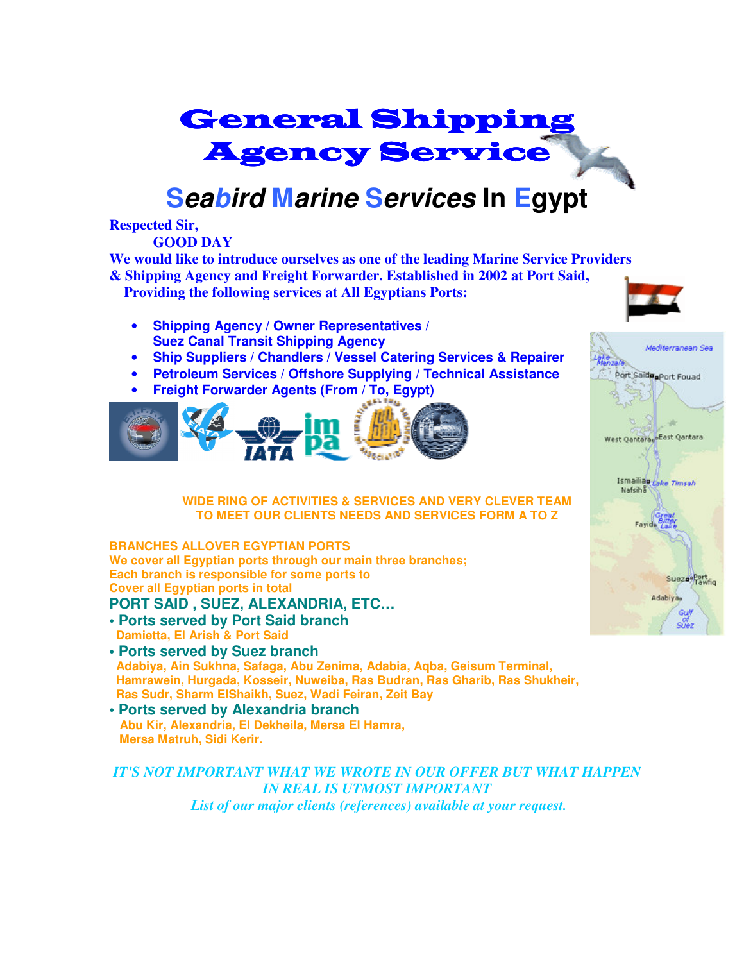# General Shipping Agency Service

## **Seabird Marine Services In Egypt**

#### **Respected Sir,**

 **GOOD DAY** 

**We would like to introduce ourselves as one of the leading Marine Service Providers & Shipping Agency and Freight Forwarder. Established in 2002 at Port Said, Providing the following services at All Egyptians Ports:** 

- **Shipping Agency / Owner Representatives / Suez Canal Transit Shipping Agency**
- **Ship Suppliers / Chandlers / Vessel Catering Services & Repairer**
- **Petroleum Services / Offshore Supplying / Technical Assistance**
- **Freight Forwarder Agents (From / To, Egypt)**



**WIDE RING OF ACTIVITIES & SERVICES AND VERY CLEVER TEAM TO MEET OUR CLIENTS NEEDS AND SERVICES FORM A TO Z**

#### **BRANCHES ALLOVER EGYPTIAN PORTS We cover all Egyptian ports through our main three branches; Each branch is responsible for some ports to Cover all Egyptian ports in total**

#### **PORT SAID , SUEZ, ALEXANDRIA, ETC…**

- **Ports served by Port Said branch Damietta, El Arish & Port Said**
- **Ports served by Suez branch Adabiya, Ain Sukhna, Safaga, Abu Zenima, Adabia, Aqba, Geisum Terminal, Hamrawein, Hurgada, Kosseir, Nuweiba, Ras Budran, Ras Gharib, Ras Shukheir, Ras Sudr, Sharm ElShaikh, Suez, Wadi Feiran, Zeit Bay**
- **Ports served by Alexandria branch Abu Kir, Alexandria, El Dekheila, Mersa El Hamra, Mersa Matruh, Sidi Kerir.**

*IT'S NOT IMPORTANT WHAT WE WROTE IN OUR OFFER BUT WHAT HAPPEN IN REAL IS UTMOST IMPORTANT List of our major clients (references) available at your request.*